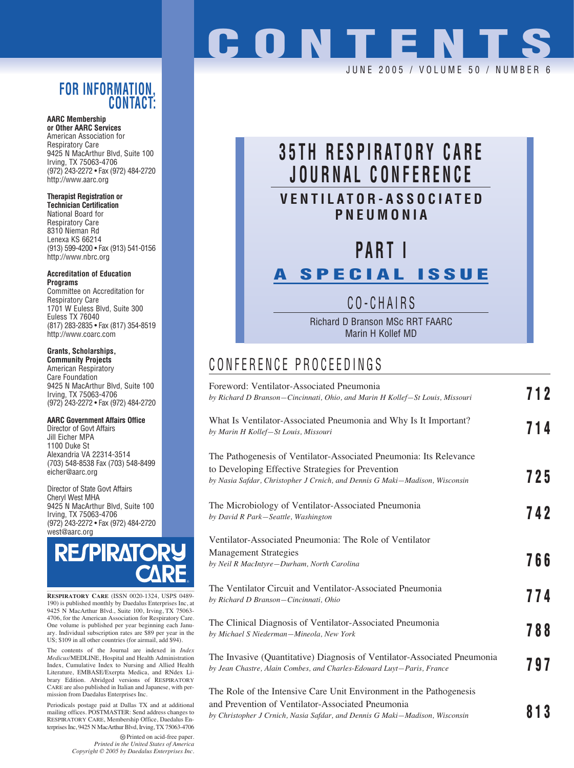#### **FOR INFORMATION, CONTACT:**

**AARC Membership or Other AARC Services**

American Association for Respiratory Care 9425 N MacArthur Blvd, Suite 100 Irving, TX 75063-4706 (972) 243-2272 • Fax (972) 484-2720 http://www.aarc.org

#### **Therapist Registration or**

**Technician Certification** National Board for Respiratory Care 8310 Nieman Rd Lenexa KS 66214 (913) 599-4200 • Fax (913) 541-0156 http://www.nbrc.org

**Accreditation of Education Programs**

Committee on Accreditation for Respiratory Care 1701 W Euless Blvd, Suite 300 Euless TX 76040 (817) 283-2835 • Fax (817) 354-8519 http://www.coarc.com

#### **Grants, Scholarships,**

**Community Projects** American Respiratory Care Foundation 9425 N MacArthur Blvd, Suite 100 Irving, TX 75063-4706 (972) 243-2272 • Fax (972) 484-2720

#### **AARC Government Affairs Office**

Director of Govt Affairs Jill Eicher MPA 1100 Duke St Alexandria VA 22314-3514 (703) 548-8538 Fax (703) 548-8499 eicher@aarc.org

Director of State Govt Affairs Cheryl West MHA 9425 N MacArthur Blvd, Suite 100 Irving, TX 75063-4706 (972) 243-2272 • Fax (972) 484-2720 west@aarc.org



**RESPIRATORY CARE** (ISSN 0020-1324, USPS 0489- 190) is published monthly by Daedalus Enterprises Inc, at 9425 N MacArthur Blvd., Suite 100, Irving, TX 75063- 4706, for the American Association for Respiratory Care. One volume is published per year beginning each Janu-ary. Individual subscription rates are \$89 per year in the US; \$109 in all other countries (for airmail, add \$94).

The contents of the Journal are indexed in *Index Medicus*/MEDLINE, Hospital and Health Administration Index, Cumulative Index to Nursing and Allied Health Literature, EMBASE/Exerpta Medica, and RNdex Library Edition. Abridged versions of RESPIRATORY CARE are also published in Italian and Japanese, with permission from Daedalus Enterprises Inc.

Periodicals postage paid at Dallas TX and at additional mailing offices. POSTMASTER: Send address changes to RESPIRATORY CARE, Membership Office, Daedalus Enterprises Inc, 9425 N MacArthur Blvd, Irving, TX 75063-4706

> Printed on acid-free paper. *Printed in the United States of America Copyright © 2005 by Daedalus Enterprises Inc.*

# **CONTENT** JUNE 2005 / VOLUME 50 / NUMBER 6

## **35TH RESPIRATORY CARE JOURNAL CONFERENCE VENTILATOR-ASSOCIATED PNEUMONIA**

# **PART I**

## **A SPECIAL ISSUE**

## CO-CHAIRS

Richard D Branson MSc RRT FAARC Marin H Kollef MD

#### CONFERENCE PROCEEDINGS

| Foreword: Ventilator-Associated Pneumonia<br>by Richard D Branson-Cincinnati, Ohio, and Marin H Kollef-St Louis, Missouri                                                                               | 712 |
|---------------------------------------------------------------------------------------------------------------------------------------------------------------------------------------------------------|-----|
| What Is Ventilator-Associated Pneumonia and Why Is It Important?<br>by Marin H Kollef-St Louis, Missouri                                                                                                | 714 |
| The Pathogenesis of Ventilator-Associated Pneumonia: Its Relevance<br>to Developing Effective Strategies for Prevention<br>by Nasia Safdar, Christopher J Crnich, and Dennis G Maki–Madison, Wisconsin  | 725 |
| The Microbiology of Ventilator-Associated Pneumonia<br>by David R Park-Seattle, Washington                                                                                                              | 742 |
| Ventilator-Associated Pneumonia: The Role of Ventilator<br><b>Management Strategies</b><br>by Neil R MacIntyre-Durham, North Carolina                                                                   | 766 |
| The Ventilator Circuit and Ventilator-Associated Pneumonia<br>by Richard D Branson-Cincinnati, Ohio                                                                                                     | 774 |
| The Clinical Diagnosis of Ventilator-Associated Pneumonia<br>by Michael S Niederman-Mineola, New York                                                                                                   | 788 |
| The Invasive (Quantitative) Diagnosis of Ventilator-Associated Pneumonia<br>by Jean Chastre, Alain Combes, and Charles-Edouard Luyt-Paris, France                                                       | 797 |
| The Role of the Intensive Care Unit Environment in the Pathogenesis<br>and Prevention of Ventilator-Associated Pneumonia<br>by Christopher J Crnich, Nasia Safdar, and Dennis G Maki–Madison, Wisconsin | 813 |